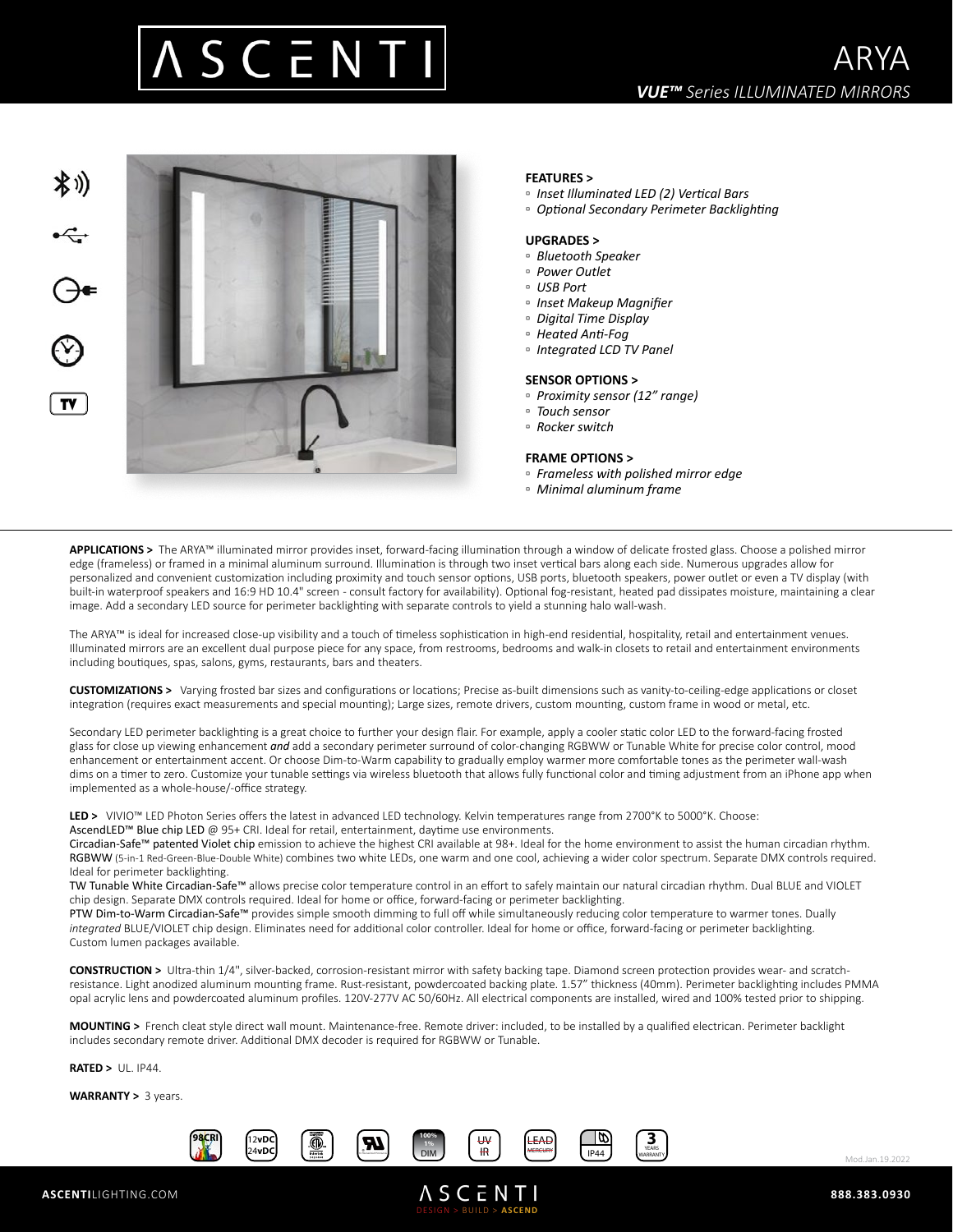



# **FEATURES >**

- *Inset Illuminated LED (2) Vertical Bars*
- *Optional Secondary Perimeter Backlighting*

## **UPGRADES >**

- *Bluetooth Speaker*
- *Power Outlet*
- *USB Port*
- *Inset Makeup Magnifier*
- *Digital Time Display*
- *Heated Anti-Fog*
- *Integrated LCD TV Panel*

### **SENSOR OPTIONS >**

- *Proximity sensor (12" range)*
- *Touch sensor*
- *Rocker switch*

### **FRAME OPTIONS >**

- *Frameless with polished mirror edge*
- *Minimal aluminum frame*

**APPLICATIONS >** The ARYA™ illuminated mirror provides inset, forward-facing illumination through a window of delicate frosted glass. Choose a polished mirror edge (frameless) or framed in a minimal aluminum surround. Illumination is through two inset vertical bars along each side. Numerous upgrades allow for personalized and convenient customization including proximity and touch sensor options, USB ports, bluetooth speakers, power outlet or even a TV display (with built-in waterproof speakers and 16:9 HD 10.4" screen - consult factory for availability). Optional fog-resistant, heated pad dissipates moisture, maintaining a clear image. Add a secondary LED source for perimeter backlighting with separate controls to yield a stunning halo wall-wash.

The ARYA™ is ideal for increased close-up visibility and a touch of timeless sophistication in high-end residential, hospitality, retail and entertainment venues. Illuminated mirrors are an excellent dual purpose piece for any space, from restrooms, bedrooms and walk-in closets to retail and entertainment environments including boutiques, spas, salons, gyms, restaurants, bars and theaters.

**CUSTOMIZATIONS >** Varying frosted bar sizes and configurations or locations; Precise as-built dimensions such as vanity-to-ceiling-edge applications or closet integration (requires exact measurements and special mounting); Large sizes, remote drivers, custom mounting, custom frame in wood or metal, etc.

Secondary LED perimeter backlighting is a great choice to further your design flair. For example, apply a cooler static color LED to the forward-facing frosted glass for close up viewing enhancement *and* add a secondary perimeter surround of color-changing RGBWW or Tunable White for precise color control, mood enhancement or entertainment accent. Or choose Dim-to-Warm capability to gradually employ warmer more comfortable tones as the perimeter wall-wash dims on a timer to zero. Customize your tunable settings via wireless bluetooth that allows fully functional color and timing adjustment from an iPhone app when implemented as a whole-house/-office strategy.

**LED >** VIVIO™ LED Photon Series offers the latest in advanced LED technology. Kelvin temperatures range from 2700°K to 5000°K. Choose: AscendLED™ Blue chip LED @ 95+ CRI. Ideal for retail, entertainment, daytime use environments.

Circadian-Safe™ patented Violet chip emission to achieve the highest CRI available at 98+. Ideal for the home environment to assist the human circadian rhythm. RGBWW (5-in-1 Red-Green-Blue-Double White) combines two white LEDs, one warm and one cool, achieving a wider color spectrum. Separate DMX controls required. Ideal for perimeter backlighting.

TW Tunable White Circadian-Safe™ allows precise color temperature control in an effort to safely maintain our natural circadian rhythm. Dual BLUE and VIOLET chip design. Separate DMX controls required. Ideal for home or office, forward-facing or perimeter backlighting.

PTW Dim-to-Warm Circadian-Safe™ provides simple smooth dimming to full off while simultaneously reducing color temperature to warmer tones. Dually *integrated* BLUE/VIOLET chip design. Eliminates need for additional color controller. Ideal for home or office, forward-facing or perimeter backlighting. Custom lumen packages available.

**CONSTRUCTION >** Ultra-thin 1/4", silver-backed, corrosion-resistant mirror with safety backing tape. Diamond screen protection provides wear- and scratchresistance. Light anodized aluminum mounting frame. Rust-resistant, powdercoated backing plate. 1.57" thickness (40mm). Perimeter backlighting includes PMMA opal acrylic lens and powdercoated aluminum profiles. 120V-277V AC 50/60Hz. All electrical components are installed, wired and 100% tested prior to shipping.

DESIGN > BUILD > **ASCEND**

**ASCENTI** 

**MOUNTING >** French cleat style direct wall mount. Maintenance-free. Remote driver: included, to be installed by a qualified electrican. Perimeter backlight includes secondary remote driver. Additional DMX decoder is required for RGBWW or Tunable.

**RATED >** UL. IP44.

**WARRANTY >** 3 years.





Mod.Jan.19.2022